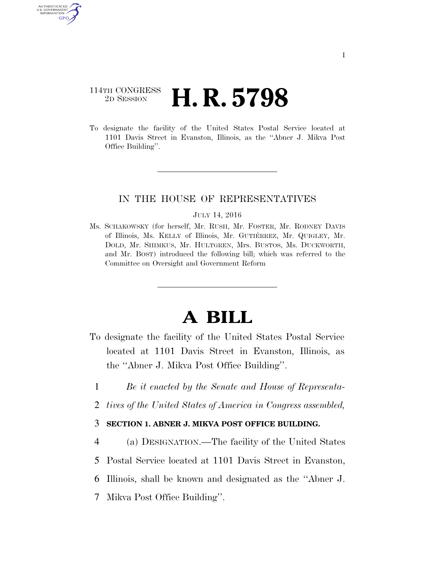# 114TH CONGRESS <sup>2D SESSION</sup> **H. R. 5798**

**AUTHENTICATE** U.S. GOVERNMENT GPO

> To designate the facility of the United States Postal Service located at 1101 Davis Street in Evanston, Illinois, as the ''Abner J. Mikva Post Office Building''.

## IN THE HOUSE OF REPRESENTATIVES

#### JULY 14, 2016

Ms. SCHAKOWSKY (for herself, Mr. RUSH, Mr. FOSTER, Mr. RODNEY DAVIS of Illinois, Ms. KELLY of Illinois, Mr. GUTIE´RREZ, Mr. QUIGLEY, Mr. DOLD, Mr. SHIMKUS, Mr. HULTGREN, Mrs. BUSTOS, Ms. DUCKWORTH, and Mr. BOST) introduced the following bill; which was referred to the Committee on Oversight and Government Reform

# **A BILL**

- To designate the facility of the United States Postal Service located at 1101 Davis Street in Evanston, Illinois, as the ''Abner J. Mikva Post Office Building''.
	- 1 *Be it enacted by the Senate and House of Representa-*
	- 2 *tives of the United States of America in Congress assembled,*

### 3 **SECTION 1. ABNER J. MIKVA POST OFFICE BUILDING.**

- 4 (a) DESIGNATION.—The facility of the United States
- 5 Postal Service located at 1101 Davis Street in Evanston,
- 6 Illinois, shall be known and designated as the ''Abner J.
- 7 Mikva Post Office Building''.